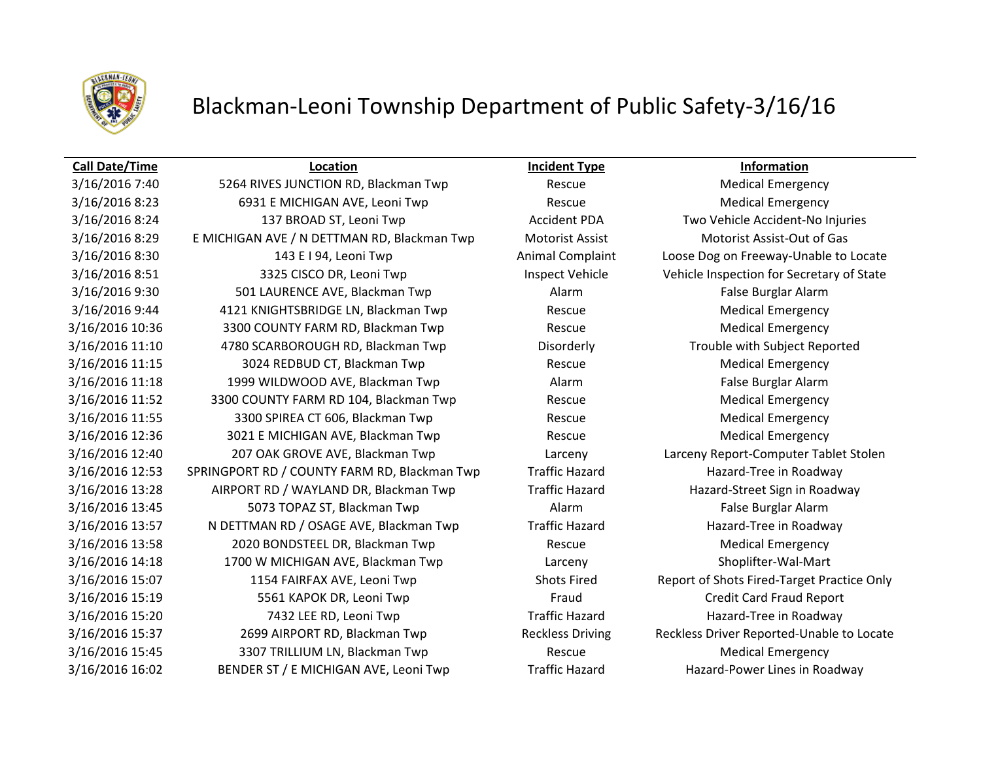

## Blackman-Leoni Township Department of Public Safety-3/16/16

### **Call Date/Time Location Incident Type Information**

3/16/2016 7:40 5264 RIVES JUNCTION RD, Blackman Twp Rescue Rescue Medical Emergency 3/16/2016 8:23 6931 E MICHIGAN AVE, Leoni Twp Rescue Rescue Medical Emergency 3/16/2016 8:24 137 BROAD ST, Leoni Twp Accident PDA Two Vehicle Accident-No Injuries 3/16/2016 8:29 E MICHIGAN AVE / N DETTMAN RD, Blackman Twp Motorist Assist Motorist Assist-Out of Gas 3/16/2016 8:30 143 E I 94, Leoni Twp Animal Complaint Loose Dog on Freeway-Unable to Locate 3/16/2016 8:51 3325 CISCO DR, Leoni Twp Inspect Vehicle Vehicle Inspection for Secretary of State 3/16/2016 9:30 501 LAURENCE AVE, Blackman Twp Alarm Alarm False Burglar Alarm 3/16/2016 9:44 4121 KNIGHTSBRIDGE LN, Blackman Twp Rescue Rescue Medical Emergency 3/16/2016 10:36 3300 COUNTY FARM RD, Blackman Twp **Rescue** Rescue Medical Emergency 3/16/2016 11:10 4780 SCARBOROUGH RD, Blackman Twp Disorderly Trouble with Subject Reported 3/16/2016 11:15 3024 REDBUD CT, Blackman Twp Rescue Rescue Medical Emergency 3/16/2016 11:18 1999 WILDWOOD AVE, Blackman Twp **Alarm** Alarm False Burglar Alarm 3/16/2016 11:52 3300 COUNTY FARM RD 104, Blackman Twp Rescue Rescue Medical Emergency 3/16/2016 11:55 3300 SPIREA CT 606, Blackman Twp Rescue Rescue Medical Emergency 3/16/2016 12:36 3021 E MICHIGAN AVE, Blackman Twp Rescue Rescue Medical Emergency 3/16/2016 12:40 207 OAK GROVE AVE, Blackman Twp Larceny Larceny Report-Computer Tablet Stolen 3/16/2016 12:53 SPRINGPORT RD / COUNTY FARM RD, Blackman Twp Traffic Hazard Hazard-Tree in Roadway 3/16/2016 13:28 AIRPORT RD / WAYLAND DR, Blackman Twp Traffic Hazard Hazard-Street Sign in Roadway 3/16/2016 13:45 5073 TOPAZ ST, Blackman Twp **Alarm Alarm False Burglar Alarm** False Burglar Alarm 3/16/2016 13:57 N DETTMAN RD / OSAGE AVE, Blackman Twp Traffic Hazard Hazard-Tree in Roadway 3/16/2016 13:58 2020 BONDSTEEL DR, Blackman Twp Rescue Rescue Medical Emergency 3/16/2016 14:18 1700 W MICHIGAN AVE, Blackman Twp Larceny Shoplifter-Wal-Mart 3/16/2016 15:07 1154 FAIRFAX AVE, Leoni Twp Shots Fired Report of Shots Fired-Target Practice Only 3/16/2016 15:19 5561 KAPOK DR, Leoni Twp Fraud Fraud Credit Card Fraud Report 3/16/2016 15:20 7432 LEE RD, Leoni Twp Traffic Hazard Hazard-Tree in Roadway 3/16/2016 15:37 2699 AIRPORT RD, Blackman Twp Reckless Driving Reckless Driver Reported-Unable to Locate 3/16/2016 15:45 3307 TRILLIUM LN, Blackman Twp **Rescue** Rescue Medical Emergency 3/16/2016 16:02 BENDER ST / E MICHIGAN AVE, Leoni Twp Traffic Hazard Hazard Hazard-Power Lines in Roadway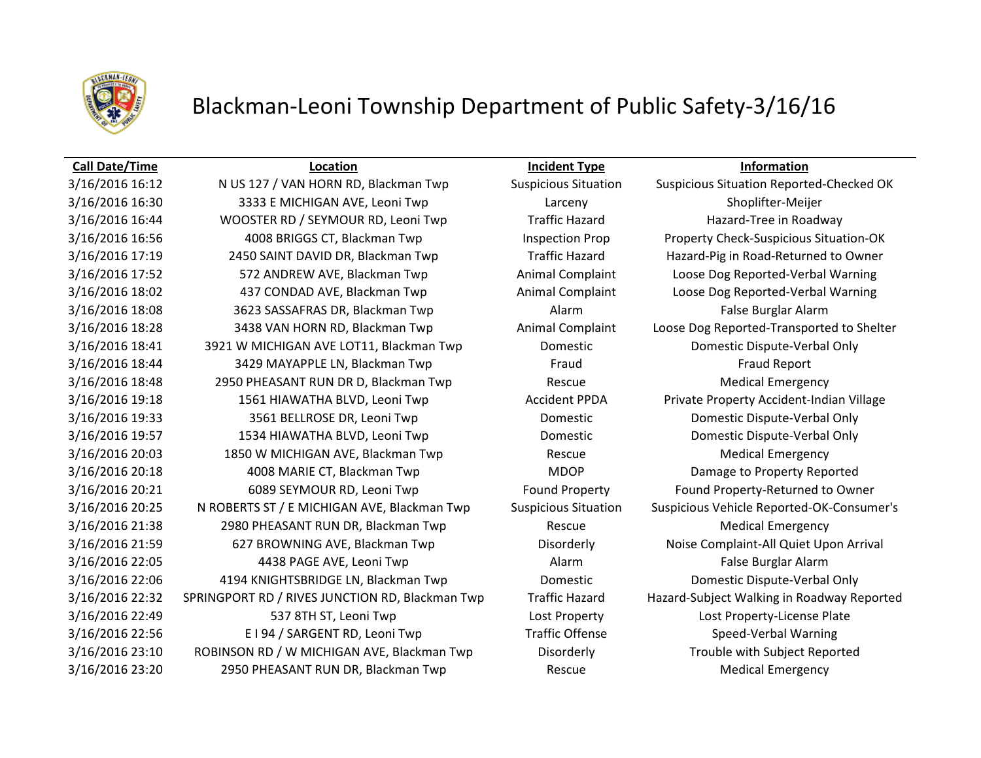

## Blackman-Leoni Township Department of Public Safety-3/16/16

3/16/2016 16:12 N US 127 / VAN HORN RD, Blackman Twp Suspicious Situation Suspicious Situation Reported-Checked OK 3/16/2016 16:30 3333 E MICHIGAN AVE, Leoni Twp Larceny Shoplifter-Meijer 3/16/2016 16:44 WOOSTER RD / SEYMOUR RD, Leoni Twp Traffic Hazard Hazard Hazard-Tree in Roadway 3/16/2016 16:56 4008 BRIGGS CT, Blackman Twp Inspection Prop Property Check-Suspicious Situation-OK 3/16/2016 17:19 2450 SAINT DAVID DR, Blackman Twp Traffic Hazard Hazard-Pig in Road-Returned to Owner 3/16/2016 17:52 **572 ANDREW AVE, Blackman Twp** Animal Complaint Loose Dog Reported-Verbal Warning 3/16/2016 18:02 437 CONDAD AVE, Blackman Twp **Animal Complaint** Loose Dog Reported-Verbal Warning 3/16/2016 18:08 3623 SASSAFRAS DR, Blackman Twp 3623 Alarm Alarm False Burglar Alarm 3/16/2016 18:28 3438 VAN HORN RD, Blackman Twp Animal Complaint Loose Dog Reported-Transported to Shelter 3/16/2016 18:41 3921 W MICHIGAN AVE LOT11, Blackman Twp Domestic Domestic Dispute-Verbal Only 3/16/2016 18:44 3429 MAYAPPLE LN, Blackman Twp Fraud Fraud Fraud Fraud Report 3/16/2016 18:48 2950 PHEASANT RUN DR D, Blackman Twp Rescue Rescue Medical Emergency 3/16/2016 19:18 1561 HIAWATHA BLVD, Leoni Twp **Accident PPDA** Private Property Accident-Indian Village 3/16/2016 19:33 3561 BELLROSE DR, Leoni Twp Domestic Domestic Dispute-Verbal Only 3/16/2016 19:57 1534 HIAWATHA BLVD, Leoni Twp Domestic Domestic Dispute-Verbal Only 3/16/2016 20:03 1850 W MICHIGAN AVE, Blackman Twp Rescue Rescue Medical Emergency 3/16/2016 20:18 4008 MARIE CT, Blackman Twp MDOP Damage to Property Reported 3/16/2016 20:21 6089 SEYMOUR RD, Leoni Twp Found Property Found Property-Returned to Owner 3/16/2016 20:25 N ROBERTS ST / E MICHIGAN AVE, Blackman Twp Suspicious Situation Suspicious Vehicle Reported-OK-Consumer's 3/16/2016 21:38 2980 PHEASANT RUN DR, Blackman Twp Rescue Rescue Medical Emergency 3/16/2016 21:59 627 BROWNING AVE, Blackman Twp Disorderly Disorderly Noise Complaint-All Quiet Upon Arrival 3/16/2016 22:05 4438 PAGE AVE, Leoni Twp Alarm Alarm Alarm False Burglar Alarm 3/16/2016 22:06 4194 KNIGHTSBRIDGE LN, Blackman Twp Domestic Domestic Dispute-Verbal Only 3/16/2016 22:32 SPRINGPORT RD / RIVES JUNCTION RD, Blackman Twp Traffic Hazard Hazard-Subject Walking in Roadway Reported 3/16/2016 22:49 537 8TH ST, Leoni Twp Lost Property Lost Property-License Plate 3/16/2016 22:56 E I 94 / SARGENT RD, Leoni Twp Traffic Offense Speed-Verbal Warning 3/16/2016 23:10 ROBINSON RD / W MICHIGAN AVE, Blackman Twp Disorderly Trouble with Subject Reported 3/16/2016 23:20 2950 PHEASANT RUN DR, Blackman Twp **Rescue** Rescue Medical Emergency

**Call Date/Time Location Incident Type Information**